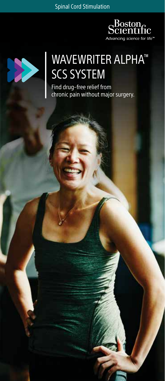Spinal Cord Stimulation





## WAVEWRITER ALPHA™ SCS SYSTEM

Find drug–free relief from chronic pain without major surgery.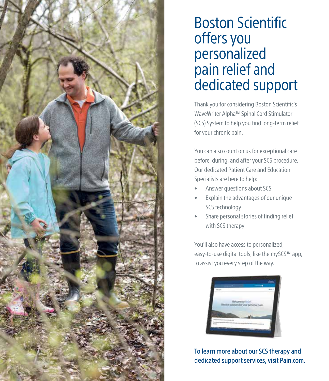

# Boston Scientific offers you personalized pain relief and dedicated support

Thank you for considering Boston Scientific's WaveWriter Alpha™ Spinal Cord Stimulator (SCS) System to help you find long-term relief for your chronic pain.

You can also count on us for exceptional care before, during, and after your SCS procedure. Our dedicated Patient Care and Education Specialists are here to help:

- Answer questions about SCS
- Explain the advantages of our unique SCS technology
- Share personal stories of finding relief with SCS therapy

You'll also have access to personalized, easy-to-use digital tools, like the mySCS™ app, to assist you every step of the way.



To learn more about our SCS therapy and dedicated support services, visit Pain.com.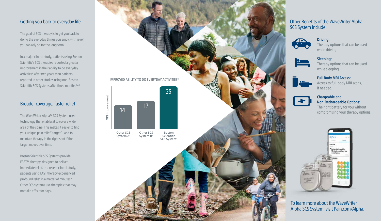#### Getting you back to everyday life

The goal of SCS therapy is to get you back to doing the everyday things you enjoy, with relief you can rely on for the long term.

In a major clinical study, patients using Boston Scientific's SCS therapies reported a greater improvement in their ability to do everyday activities\* after two years than patients reported in other studies using non-Boston Scientific SCS Systems after three months.<sup>1,2,3</sup>

#### Broader coverage, faster relief

The WaveWriter Alpha™ SCS System uses technology that enables it to cover a wide area of the spine. This makes it easier to find your unique pain relief "target"—and to maintain therapy in the right spot if the target moves over time.

Boston Scientific SCS Systems provide FAST™ therapy, designed to deliver immediate relief. In a recent clinical study, patients using FAST therapy experienced profound relief in a matter of minutes. 4 Other SCS systems use therapies that may not take effect for days.



#### Other Benefits of the WaveWriter Alpha SCS System Include:



Driving: Therapy options that can be used while driving.



Sleeping: Therapy options that can be used while sleeping.



Full-Body MRI Access: Access to full-body MRI scans, if needed.



### Chargeable and Non-Rechargeable Options:

The right battery for you without



To learn more about the WaveWriter Alpha SCS System, visit Pain.com/Alpha.